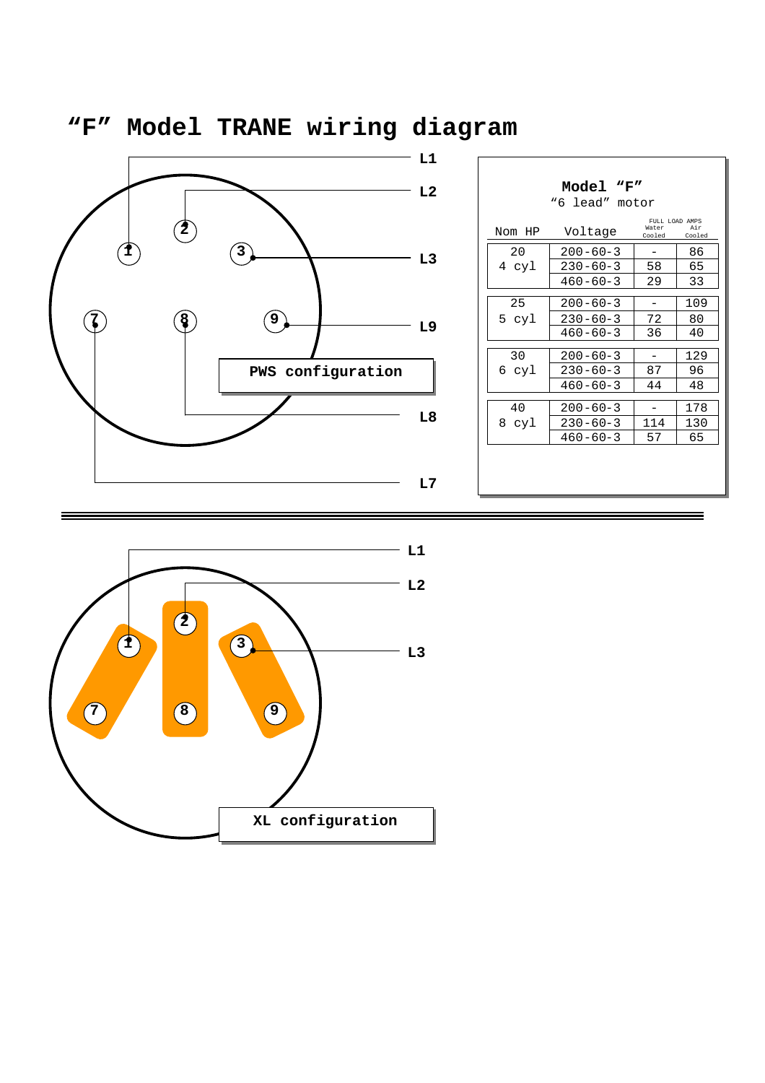

| Model "F"<br>"6 lead" motor |                |                                   |               |  |
|-----------------------------|----------------|-----------------------------------|---------------|--|
| Nom HP                      | Voltage        | FULL LOAD AMPS<br>Water<br>Cooled | Air<br>Cooled |  |
| 2.0                         | $200 - 60 - 3$ |                                   | 86            |  |
| 4 cyl                       | $230 - 60 - 3$ | 58                                | 65            |  |
|                             | $460 - 60 - 3$ | 29                                | 33            |  |
| 25                          | $200 - 60 - 3$ |                                   | 109           |  |
| 5 cyl                       | $230 - 60 - 3$ | 72                                | 80            |  |
|                             | $460 - 60 - 3$ | 36                                | 40            |  |
| 30                          | $200 - 60 - 3$ |                                   | 129           |  |
| 6 cyl                       | $230 - 60 - 3$ | 87                                | 96            |  |
|                             | $460 - 60 - 3$ | 44                                | 48            |  |
| 40                          | $200 - 60 - 3$ |                                   | 178           |  |
| 8 cyl                       | $230 - 60 - 3$ | 114                               | 130           |  |
|                             | $460 - 60 - 3$ | 57                                | 65            |  |
|                             |                |                                   |               |  |
|                             |                |                                   |               |  |